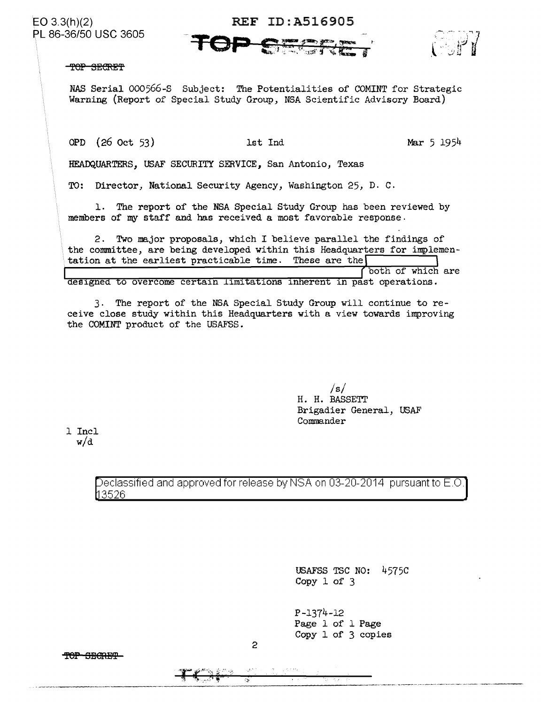86-36/50 usc 3605

## EO 3.3(h)(2) REF ID: A516905



TOP SECRET

NAS Serial 000566-S Subject: The Potentialities of COMINT for Strategic Warning (Report of Special Study Group, NSA Scientific Advisory Board)

OPD (26 Oct 53) 1st Ind Mar 5 1954

HEADQUARTERS, USAF SECURITY SERVICE, San Antonio, Texas

TO: Director, National Security Agency, Washington 25, D. c.

1. The report of the NSA Special Study Group has been reviewed by members of my staff and has received a most favorable response.

2. *Two* major proposals, which I believe parallel the findings of the committee, are being developed within this Headquarters for implementation at the earliest practicable time. These are the designed to overcome certain limitations inherent in past operations.

3. The report of the NSA Special Study Group will continue to receive close study within this Headquarters with a view towards improving the COMINT product of the USAFSS.

> */s/*  H. H. BASSETT Brigadier General, USAF Commander

1 Incl w/d

> Declassified and approved for release by NSA on 03-20-2014 pursuant to E.O. 3526

> > USAFSS TSC NO: 4575C Copy 1 of 3

P-1374-12 Page 1 of 1 Page Copy 1 of 3 copies

TOP SBORET

2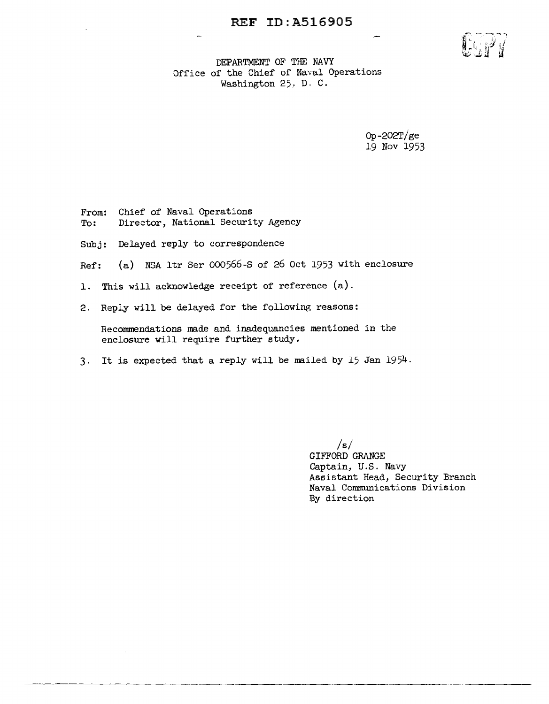

DEPARTMENT OF THE NAVY Office of the Chief of Naval Operations Washington 25: D. C.

> Op-202T/ge 19 Nov 1953

From: Chief of Naval Operations To: Director, National Security Agency

Subj: Delayed reply to correspondence

Ref: (a) NSA ltr Ser 000566-S of 26 Oct 1953 with enclosure

- 1. This will acknowledge receipt of reference (a).
- 2. Reply will be delayed for the following reasons:

Recommendations made and inadequancies mentioned in the enclosure will require further study.

3· It is expected that a reply will be mailed by 15 Jan 1954.

 $/s/$ GIFFORD GRANGE Captain, U.S. Navy Assistant Head, Security Branch Naval Communications Division By direction